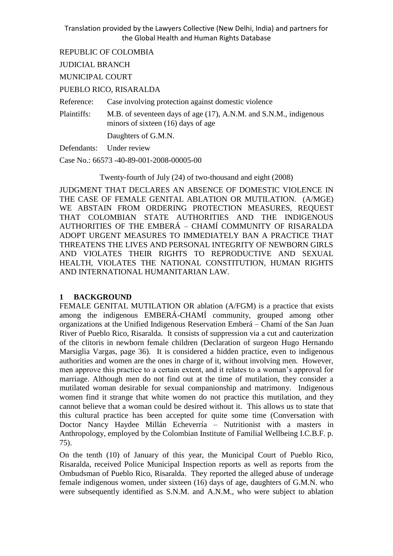REPUBLIC OF COLOMBIA

JUDICIAL BRANCH

MUNICIPAL COURT

PUEBLO RICO, RISARALDA

Reference: Case involving protection against domestic violence

Plaintiffs: M.B. of seventeen days of age (17), A.N.M. and S.N.M., indigenous minors of sixteen (16) days of age

Daughters of G.M.N.

Defendants: Under review

Case No.: 66573 -40-89-001-2008-00005-00

Twenty-fourth of July (24) of two-thousand and eight (2008)

JUDGMENT THAT DECLARES AN ABSENCE OF DOMESTIC VIOLENCE IN THE CASE OF FEMALE GENITAL ABLATION OR MUTILATION. (A/MGE) WE ABSTAIN FROM ORDERING PROTECTION MEASURES, REQUEST THAT COLOMBIAN STATE AUTHORITIES AND THE INDIGENOUS AUTHORITIES OF THE EMBERÁ – CHAMÍ COMMUNITY OF RISARALDA ADOPT URGENT MEASURES TO IMMEDIATELY BAN A PRACTICE THAT THREATENS THE LIVES AND PERSONAL INTEGRITY OF NEWBORN GIRLS AND VIOLATES THEIR RIGHTS TO REPRODUCTIVE AND SEXUAL HEALTH, VIOLATES THE NATIONAL CONSTITUTION, HUMAN RIGHTS AND INTERNATIONAL HUMANITARIAN LAW.

#### **1 BACKGROUND**

FEMALE GENITAL MUTILATION OR ablation (A/FGM) is a practice that exists among the indigenous EMBERÁ-CHAMÍ community, grouped among other organizations at the Unified Indigenous Reservation Emberá – Chamí of the San Juan River of Pueblo Rico, Risaralda. It consists of suppression via a cut and cauterization of the clitoris in newborn female children (Declaration of surgeon Hugo Hernando Marsiglia Vargas, page 36). It is considered a hidden practice, even to indigenous authorities and women are the ones in charge of it, without involving men. However, men approve this practice to a certain extent, and it relates to a woman's approval for marriage. Although men do not find out at the time of mutilation, they consider a mutilated woman desirable for sexual companionship and matrimony. Indigenous women find it strange that white women do not practice this mutilation, and they cannot believe that a woman could be desired without it. This allows us to state that this cultural practice has been accepted for quite some time (Conversation with Doctor Nancy Haydee Millán Echeverría – Nutritionist with a masters in Anthropology, employed by the Colombian Institute of Familial Wellbeing I.C.B.F. p. 75).

On the tenth (10) of January of this year, the Municipal Court of Pueblo Rico, Risaralda, received Police Municipal Inspection reports as well as reports from the Ombudsman of Pueblo Rico, Risaralda. They reported the alleged abuse of underage female indigenous women, under sixteen (16) days of age, daughters of G.M.N. who were subsequently identified as S.N.M. and A.N.M., who were subject to ablation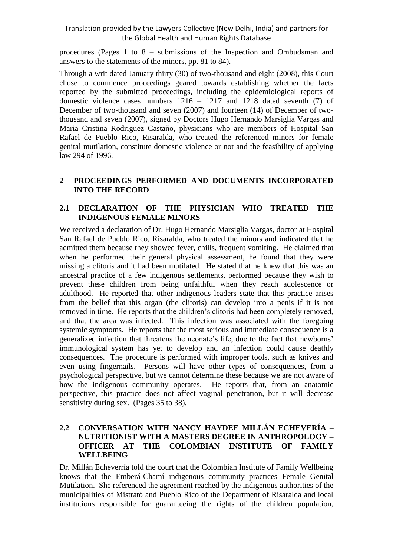procedures (Pages 1 to 8 – submissions of the Inspection and Ombudsman and answers to the statements of the minors, pp. 81 to 84).

Through a writ dated January thirty (30) of two-thousand and eight (2008), this Court chose to commence proceedings geared towards establishing whether the facts reported by the submitted proceedings, including the epidemiological reports of domestic violence cases numbers 1216 – 1217 and 1218 dated seventh (7) of December of two-thousand and seven (2007) and fourteen (14) of December of twothousand and seven (2007), signed by Doctors Hugo Hernando Marsiglia Vargas and Maria Cristina Rodriguez Castaño, physicians who are members of Hospital San Rafael de Pueblo Rico, Risaralda, who treated the referenced minors for female genital mutilation, constitute domestic violence or not and the feasibility of applying law 294 of 1996.

### **2 PROCEEDINGS PERFORMED AND DOCUMENTS INCORPORATED INTO THE RECORD**

## **2.1 DECLARATION OF THE PHYSICIAN WHO TREATED THE INDIGENOUS FEMALE MINORS**

We received a declaration of Dr. Hugo Hernando Marsiglia Vargas, doctor at Hospital San Rafael de Pueblo Rico, Risaralda, who treated the minors and indicated that he admitted them because they showed fever, chills, frequent vomiting. He claimed that when he performed their general physical assessment, he found that they were missing a clitoris and it had been mutilated. He stated that he knew that this was an ancestral practice of a few indigenous settlements, performed because they wish to prevent these children from being unfaithful when they reach adolescence or adulthood. He reported that other indigenous leaders state that this practice arises from the belief that this organ (the clitoris) can develop into a penis if it is not removed in time. He reports that the children's clitoris had been completely removed, and that the area was infected. This infection was associated with the foregoing systemic symptoms. He reports that the most serious and immediate consequence is a generalized infection that threatens the neonate's life, due to the fact that newborns' immunological system has yet to develop and an infection could cause deathly consequences. The procedure is performed with improper tools, such as knives and even using fingernails. Persons will have other types of consequences, from a psychological perspective, but we cannot determine these because we are not aware of how the indigenous community operates. He reports that, from an anatomic perspective, this practice does not affect vaginal penetration, but it will decrease sensitivity during sex. (Pages 35 to 38).

## **2.2 CONVERSATION WITH NANCY HAYDEE MILLÁN ECHEVERÍA – NUTRITIONIST WITH A MASTERS DEGREE IN ANTHROPOLOGY – OFFICER AT THE COLOMBIAN INSTITUTE OF FAMILY WELLBEING**

Dr. Millán Echeverría told the court that the Colombian Institute of Family Wellbeing knows that the Emberá-Chamí indigenous community practices Female Genital Mutilation. She referenced the agreement reached by the indigenous authorities of the municipalities of Mistrató and Pueblo Rico of the Department of Risaralda and local institutions responsible for guaranteeing the rights of the children population,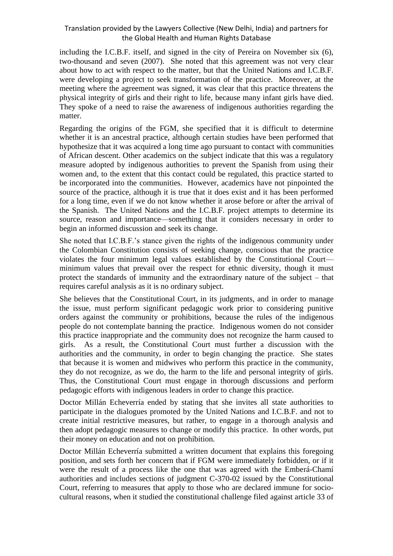including the I.C.B.F. itself, and signed in the city of Pereira on November six (6), two-thousand and seven (2007). She noted that this agreement was not very clear about how to act with respect to the matter, but that the United Nations and I.C.B.F. were developing a project to seek transformation of the practice. Moreover, at the meeting where the agreement was signed, it was clear that this practice threatens the physical integrity of girls and their right to life, because many infant girls have died. They spoke of a need to raise the awareness of indigenous authorities regarding the matter.

Regarding the origins of the FGM, she specified that it is difficult to determine whether it is an ancestral practice, although certain studies have been performed that hypothesize that it was acquired a long time ago pursuant to contact with communities of African descent. Other academics on the subject indicate that this was a regulatory measure adopted by indigenous authorities to prevent the Spanish from using their women and, to the extent that this contact could be regulated, this practice started to be incorporated into the communities. However, academics have not pinpointed the source of the practice, although it is true that it does exist and it has been performed for a long time, even if we do not know whether it arose before or after the arrival of the Spanish. The United Nations and the I.C.B.F. project attempts to determine its source, reason and importance—something that it considers necessary in order to begin an informed discussion and seek its change.

She noted that I.C.B.F.'s stance given the rights of the indigenous community under the Colombian Constitution consists of seeking change, conscious that the practice violates the four minimum legal values established by the Constitutional Court minimum values that prevail over the respect for ethnic diversity, though it must protect the standards of immunity and the extraordinary nature of the subject – that requires careful analysis as it is no ordinary subject.

She believes that the Constitutional Court, in its judgments, and in order to manage the issue, must perform significant pedagogic work prior to considering punitive orders against the community or prohibitions, because the rules of the indigenous people do not contemplate banning the practice. Indigenous women do not consider this practice inappropriate and the community does not recognize the harm caused to girls. As a result, the Constitutional Court must further a discussion with the authorities and the community, in order to begin changing the practice. She states that because it is women and midwives who perform this practice in the community, they do not recognize, as we do, the harm to the life and personal integrity of girls. Thus, the Constitutional Court must engage in thorough discussions and perform pedagogic efforts with indigenous leaders in order to change this practice.

Doctor Millán Echeverría ended by stating that she invites all state authorities to participate in the dialogues promoted by the United Nations and I.C.B.F. and not to create initial restrictive measures, but rather, to engage in a thorough analysis and then adopt pedagogic measures to change or modify this practice. In other words, put their money on education and not on prohibition.

Doctor Millán Echeverría submitted a written document that explains this foregoing position, and sets forth her concern that if FGM were immediately forbidden, or if it were the result of a process like the one that was agreed with the Emberá-Chamí authorities and includes sections of judgment C-370-02 issued by the Constitutional Court, referring to measures that apply to those who are declared immune for sociocultural reasons, when it studied the constitutional challenge filed against article 33 of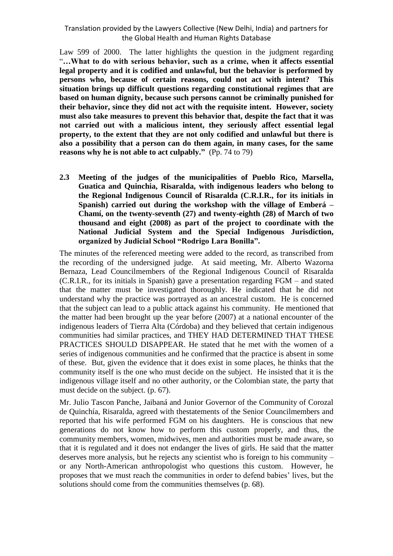Law 599 of 2000. The latter highlights the question in the judgment regarding "**…What to do with serious behavior, such as a crime, when it affects essential legal property and it is codified and unlawful, but the behavior is performed by persons who, because of certain reasons, could not act with intent? This situation brings up difficult questions regarding constitutional regimes that are based on human dignity, because such persons cannot be criminally punished for their behavior, since they did not act with the requisite intent. However, society must also take measures to prevent this behavior that, despite the fact that it was not carried out with a malicious intent, they seriously affect essential legal property, to the extent that they are not only codified and unlawful but there is also a possibility that a person can do them again, in many cases, for the same reasons why he is not able to act culpably."** (Pp. 74 to 79)

**2.3 Meeting of the judges of the municipalities of Pueblo Rico, Marsella, Guatica and Quinchia, Risaralda, with indigenous leaders who belong to the Regional Indigenous Council of Risaralda (C.R.I.R., for its initials in Spanish) carried out during the workshop with the village of Emberá – Chamí, on the twenty-seventh (27) and twenty-eighth (28) of March of two thousand and eight (2008) as part of the project to coordinate with the National Judicial System and the Special Indigenous Jurisdiction, organized by Judicial School "Rodrigo Lara Bonilla".** 

The minutes of the referenced meeting were added to the record, as transcribed from the recording of the undersigned judge. At said meeting, Mr. Alberto Wazorna Bernaza, Lead Councilmembers of the Regional Indigenous Council of Risaralda (C.R.I.R., for its initials in Spanish) gave a presentation regarding FGM – and stated that the matter must be investigated thoroughly. He indicated that he did not understand why the practice was portrayed as an ancestral custom. He is concerned that the subject can lead to a public attack against his community. He mentioned that the matter had been brought up the year before (2007) at a national encounter of the indigenous leaders of Tierra Alta (Córdoba) and they believed that certain indigenous communities had similar practices, and THEY HAD DETERMINED THAT THESE PRACTICES SHOULD DISAPPEAR. He stated that he met with the women of a series of indigenous communities and he confirmed that the practice is absent in some of these. But, given the evidence that it does exist in some places, he thinks that the community itself is the one who must decide on the subject. He insisted that it is the indigenous village itself and no other authority, or the Colombian state, the party that must decide on the subject. (p. 67).

Mr. Julio Tascon Panche, Jaibaná and Junior Governor of the Community of Corozal de Quinchía, Risaralda, agreed with thestatements of the Senior Councilmembers and reported that his wife performed FGM on his daughters. He is conscious that new generations do not know how to perform this custom properly, and thus, the community members, women, midwives, men and authorities must be made aware, so that it is regulated and it does not endanger the lives of girls. He said that the matter deserves more analysis, but he rejects any scientist who is foreign to his community – or any North-American anthropologist who questions this custom. However, he proposes that we must reach the communities in order to defend babies' lives, but the solutions should come from the communities themselves (p. 68).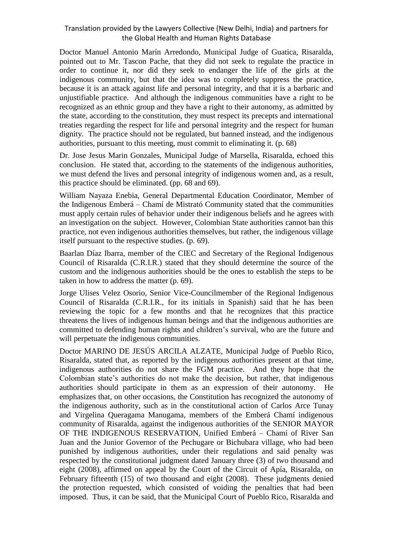Doctor Manuel Antonio Marín Arredondo, Municipal Judge of Guatica, Risaralda, pointed out to Mr. Tascon Pache, that they did not seek to regulate the practice in order to continue it, nor did they seek to endanger the life of the girls at the indigenous community, but that the idea was to completely suppress the practice, because it is an attack against life and personal integrity, and that it is a barbaric and unjustifiable practice. And although the indigenous communities have a right to be recognized as an ethnic group and they have a right to their autonomy, as admitted by the state, according to the constitution, they must respect its precepts and international treaties regarding the respect for life and personal integrity and the respect for human dignity. The practice should not be regulated, but banned instead, and the indigenous authorities, pursuant to this meeting, must commit to eliminating it. (p. 68)

Dr. Jose Jesus Marin Gonzales, Municipal Judge of Marsella, Risaralda, echoed this conclusion. He stated that, according to the statements of the indigenous authorities, we must defend the lives and personal integrity of indigenous women and, as a result, this practice should be eliminated. (pp. 68 and 69).

William Nayaza Enebia, General Departmental Education Coordinator, Member of the Indigenous Emberá – Chamí de Mistrató Community stated that the communities must apply certain rules of behavior under their indigenous beliefs and he agrees with an investigation on the subject. However, Colombian State authorities cannot ban this practice, not even indigenous authorities themselves, but rather, the indigenous village itself pursuant to the respective studies. (p. 69).

Baarlan Díaz Ibarra, member of the CIEC and Secretary of the Regional Indigenous Council of Risaralda (C.R.I.R.) stated that they should determine the source of the custom and the indigenous authorities should be the ones to establish the steps to be taken in how to address the matter (p. 69).

Jorge Ulises Velez Osorio, Senior Vice-Councilmember of the Regional Indigenous Council of Risaralda (C.R.I.R., for its initials in Spanish) said that he has been reviewing the topic for a few months and that he recognizes that this practice threatens the lives of indigenous human beings and that the indigenous authorities are committed to defending human rights and children's survival, who are the future and will perpetuate the indigenous communities.

Doctor MARINO DE JESÚS ARCILA ALZATE, Municipal Judge of Pueblo Rico, Risaralda, stated that, as reported by the indigenous authorities present at that time, indigenous authorities do not share the FGM practice. And they hope that the Colombian state's authorities do not make the decision, but rather, that indigenous authorities should participate in them as an expression of their autonomy. He emphasizes that, on other occasions, the Constitution has recognized the autonomy of the indigenous authority, such as in the constitutional action of Carlos Arce Tunay and Virgelina Queragama Manugama, members of the Emberá Chamí indigenous community of Risaralda, against the indigenous authorities of the SENIOR MAYOR OF THE INDIGENOUS RESERVATION, Unified Emberá – Chamí of River San Juan and the Junior Governor of the Pechugare or Bichubara village, who had been punished by indigenous authorities, under their regulations and said penalty was respected by the constitutional judgment dated January three (3) of two thousand and eight (2008), affirmed on appeal by the Court of the Circuit of Apía, Risaralda, on February fifteenth (15) of two thousand and eight (2008). These judgments denied the protection requested, which consisted of voiding the penalties that had been imposed. Thus, it can be said, that the Municipal Court of Pueblo Rico, Risaralda and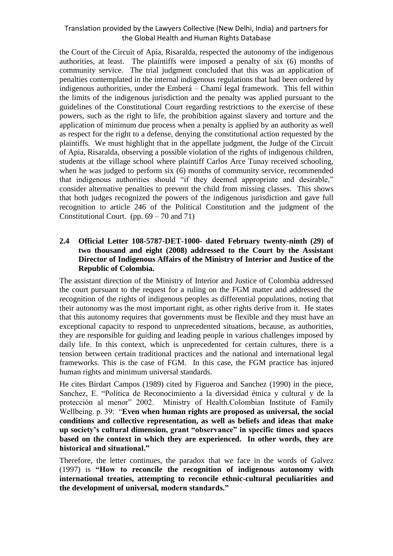the Court of the Circuit of Apía, Risaralda, respected the autonomy of the indigenous authorities, at least. The plaintiffs were imposed a penalty of six (6) months of community service. The trial judgment concluded that this was an application of penalties contemplated in the internal indigenous regulations that had been ordered by indigenous authorities, under the Emberá – Chamí legal framework. This fell within the limits of the indigenous jurisdiction and the penalty was applied pursuant to the guidelines of the Constitutional Court regarding restrictions to the exercise of these powers, such as the right to life, the prohibition against slavery and torture and the application of minimum due process when a penalty is applied by an authority as well as respect for the right to a defense, denying the constitutional action requested by the plaintiffs. We must highlight that in the appellate judgment, the Judge of the Circuit of Apia, Risaralda, observing a possible violation of the rights of indigenous children, students at the village school where plaintiff Carlos Arce Tunay received schooling, when he was judged to perform six (6) months of community service, recommended that indigenous authorities should "if they deemed appropriate and desirable," consider alternative penalties to prevent the child from missing classes. This shows that both judges recognized the powers of the indigenous jurisdiction and gave full recognition to article 246 of the Political Constitution and the judgment of the Constitutional Court. (pp.  $69 - 70$  and  $71$ )

#### **2.4 Official Letter 108-5787-DET-1000- dated February twenty-ninth (29) of two thousand and eight (2008) addressed to the Court by the Assistant Director of Indigenous Affairs of the Ministry of Interior and Justice of the Republic of Colombia.**

The assistant direction of the Ministry of Interior and Justice of Colombia addressed the court pursuant to the request for a ruling on the FGM matter and addressed the recognition of the rights of indigenous peoples as differential populations, noting that their autonomy was the most important right, as other rights derive from it. He states that this autonomy requires that governments must be flexible and they must have an exceptional capacity to respond to unprecedented situations, because, as authorities, they are responsible for guiding and leading people in various challenges imposed by daily life. In this context, which is unprecedented for certain cultures, there is a tension between certain traditional practices and the national and international legal frameworks. This is the case of FGM. In this case, the FGM practice has injured human rights and minimum universal standards.

He cites Birdart Campos (1989) cited by Figueroa and Sanchez (1990) in the piece, Sanchez, E. "Política de Reconocimiento a la diversidad étnica y cultural y de la protección al menor" 2002. Ministry of Health.Colombian Institute of Family Wellbeing. p. 39: "**Even when human rights are proposed as universal, the social conditions and collective representation, as well as beliefs and ideas that make up society's cultural dimension, grant "observance" in specific times and spaces based on the context in which they are experienced. In other words, they are historical and situational."** 

Therefore, the letter continues, the paradox that we face in the words of Galvez (1997) is **"How to reconcile the recognition of indigenous autonomy with international treaties, attempting to reconcile ethnic-cultural peculiarities and the development of universal, modern standards."**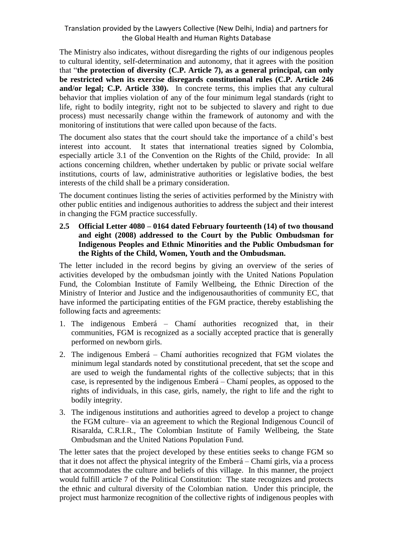The Ministry also indicates, without disregarding the rights of our indigenous peoples to cultural identity, self-determination and autonomy, that it agrees with the position that "**the protection of diversity (C.P. Article 7), as a general principal, can only be restricted when its exercise disregards constitutional rules (C.P. Article 246 and/or legal; C.P. Article 330).** In concrete terms, this implies that any cultural behavior that implies violation of any of the four minimum legal standards (right to life, right to bodily integrity, right not to be subjected to slavery and right to due process) must necessarily change within the framework of autonomy and with the monitoring of institutions that were called upon because of the facts.

The document also states that the court should take the importance of a child's best interest into account. It states that international treaties signed by Colombia, especially article 3.1 of the Convention on the Rights of the Child, provide: In all actions concerning children, whether undertaken by public or private social welfare institutions, courts of law, administrative authorities or legislative bodies, the best interests of the child shall be a primary consideration.

The document continues listing the series of activities performed by the Ministry with other public entities and indigenous authorities to address the subject and their interest in changing the FGM practice successfully.

**2.5 Official Letter 4080 – 0164 dated February fourteenth (14) of two thousand and eight (2008) addressed to the Court by the Public Ombudsman for Indigenous Peoples and Ethnic Minorities and the Public Ombudsman for the Rights of the Child, Women, Youth and the Ombudsman.** 

The letter included in the record begins by giving an overview of the series of activities developed by the ombudsman jointly with the United Nations Population Fund, the Colombian Institute of Family Wellbeing, the Ethnic Direction of the Ministry of Interior and Justice and the indigenousauthorities of community EC, that have informed the participating entities of the FGM practice, thereby establishing the following facts and agreements:

- 1. The indigenous Emberá Chamí authorities recognized that, in their communities, FGM is recognized as a socially accepted practice that is generally performed on newborn girls.
- 2. The indigenous Emberá Chamí authorities recognized that FGM violates the minimum legal standards noted by constitutional precedent, that set the scope and are used to weigh the fundamental rights of the collective subjects; that in this case, is represented by the indigenous Emberá – Chamí peoples, as opposed to the rights of individuals, in this case, girls, namely, the right to life and the right to bodily integrity.
- 3. The indigenous institutions and authorities agreed to develop a project to change the FGM culture– via an agreement to which the Regional Indigenous Council of Risaralda, C.R.I.R., The Colombian Institute of Family Wellbeing, the State Ombudsman and the United Nations Population Fund.

The letter sates that the project developed by these entities seeks to change FGM so that it does not affect the physical integrity of the Emberá – Chamí girls, via a process that accommodates the culture and beliefs of this village. In this manner, the project would fulfill article 7 of the Political Constitution: The state recognizes and protects the ethnic and cultural diversity of the Colombian nation. Under this principle, the project must harmonize recognition of the collective rights of indigenous peoples with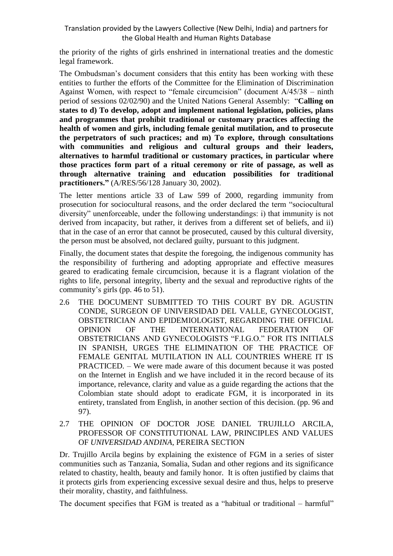the priority of the rights of girls enshrined in international treaties and the domestic legal framework.

The Ombudsman's document considers that this entity has been working with these entities to further the efforts of the Committee for the Elimination of Discrimination Against Women, with respect to "female circumcision" (document A/45/38 – ninth period of sessions 02/02/90) and the United Nations General Assembly: "**Calling on states to d) To develop, adopt and implement national legislation, policies, plans and programmes that prohibit traditional or customary practices affecting the health of women and girls, including female genital mutilation, and to prosecute the perpetrators of such practices; and m) To explore, through consultations with communities and religious and cultural groups and their leaders, alternatives to harmful traditional or customary practices, in particular where those practices form part of a ritual ceremony or rite of passage, as well as through alternative training and education possibilities for traditional practitioners."** (A/RES/56/128 January 30, 2002).

The letter mentions article 33 of Law 599 of 2000, regarding immunity from prosecution for sociocultural reasons, and the order declared the term "sociocultural diversity" unenforceable, under the following understandings: i) that immunity is not derived from incapacity, but rather, it derives from a different set of beliefs, and ii) that in the case of an error that cannot be prosecuted, caused by this cultural diversity, the person must be absolved, not declared guilty, pursuant to this judgment.

Finally, the document states that despite the foregoing, the indigenous community has the responsibility of furthering and adopting appropriate and effective measures geared to eradicating female circumcision, because it is a flagrant violation of the rights to life, personal integrity, liberty and the sexual and reproductive rights of the community's girls (pp. 46 to 51).

- 2.6 THE DOCUMENT SUBMITTED TO THIS COURT BY DR. AGUSTIN CONDE, SURGEON OF UNIVERSIDAD DEL VALLE, GYNECOLOGIST, OBSTETRICIAN AND EPIDEMIOLOGIST, REGARDING THE OFFICIAL OPINION OF THE INTERNATIONAL FEDERATION OF OBSTETRICIANS AND GYNECOLOGISTS "F.I.G.O." FOR ITS INITIALS IN SPANISH, URGES THE ELIMINATION OF THE PRACTICE OF FEMALE GENITAL MUTILATION IN ALL COUNTRIES WHERE IT IS PRACTICED. – We were made aware of this document because it was posted on the Internet in English and we have included it in the record because of its importance, relevance, clarity and value as a guide regarding the actions that the Colombian state should adopt to eradicate FGM, it is incorporated in its entirety, translated from English, in another section of this decision. (pp. 96 and 97).
- 2.7 THE OPINION OF DOCTOR JOSE DANIEL TRUJILLO ARCILA, PROFESSOR OF CONSTITUTIONAL LAW, PRINCIPLES AND VALUES OF *UNIVERSIDAD ANDINA*, PEREIRA SECTION

Dr. Trujillo Arcila begins by explaining the existence of FGM in a series of sister communities such as Tanzania, Somalia, Sudan and other regions and its significance related to chastity, health, beauty and family honor. It is often justified by claims that it protects girls from experiencing excessive sexual desire and thus, helps to preserve their morality, chastity, and faithfulness.

The document specifies that FGM is treated as a "habitual or traditional – harmful"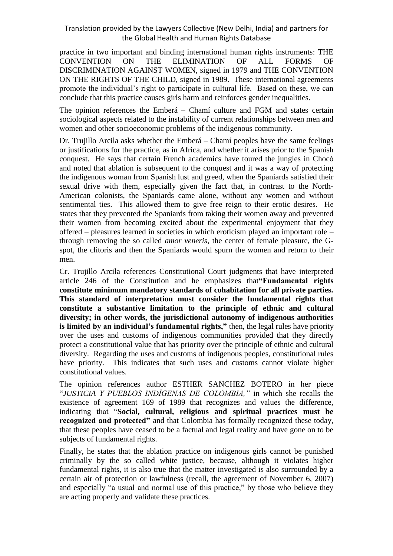practice in two important and binding international human rights instruments: THE CONVENTION ON THE ELIMINATION OF ALL FORMS OF DISCRIMINATION AGAINST WOMEN, signed in 1979 and THE CONVENTION ON THE RIGHTS OF THE CHILD, signed in 1989. These international agreements promote the individual's right to participate in cultural life. Based on these, we can conclude that this practice causes girls harm and reinforces gender inequalities.

The opinion references the Emberá – Chamí culture and FGM and states certain sociological aspects related to the instability of current relationships between men and women and other socioeconomic problems of the indigenous community.

Dr. Trujillo Arcila asks whether the Emberá – Chamí peoples have the same feelings or justifications for the practice, as in Africa, and whether it arises prior to the Spanish conquest. He says that certain French academics have toured the jungles in Chocó and noted that ablation is subsequent to the conquest and it was a way of protecting the indigenous woman from Spanish lust and greed, when the Spaniards satisfied their sexual drive with them, especially given the fact that, in contrast to the North-American colonists, the Spaniards came alone, without any women and without sentimental ties. This allowed them to give free reign to their erotic desires. He states that they prevented the Spaniards from taking their women away and prevented their women from becoming excited about the experimental enjoyment that they offered – pleasures learned in societies in which eroticism played an important role – through removing the so called *amor veneris,* the center of female pleasure, the Gspot, the clitoris and then the Spaniards would spurn the women and return to their men.

Cr. Trujillo Arcila references Constitutional Court judgments that have interpreted article 246 of the Constitution and he emphasizes that**"Fundamental rights constitute minimum mandatory standards of cohabitation for all private parties. This standard of interpretation must consider the fundamental rights that constitute a substantive limitation to the principle of ethnic and cultural diversity; in other words, the jurisdictional autonomy of indigenous authorities is limited by an individual's fundamental rights,"** then, the legal rules have priority over the uses and customs of indigenous communities provided that they directly protect a constitutional value that has priority over the principle of ethnic and cultural diversity. Regarding the uses and customs of indigenous peoples, constitutional rules have priority. This indicates that such uses and customs cannot violate higher constitutional values.

The opinion references author ESTHER SANCHEZ BOTERO in her piece "*JUSTICIA Y PUEBLOS INDÍGENAS DE COLOMBIA,"* in which she recalls the existence of agreement 169 of 1989 that recognizes and values the difference, indicating that "**Social, cultural, religious and spiritual practices must be recognized and protected"** and that Colombia has formally recognized these today, that these peoples have ceased to be a factual and legal reality and have gone on to be subjects of fundamental rights.

Finally, he states that the ablation practice on indigenous girls cannot be punished criminally by the so called white justice, because, although it violates higher fundamental rights, it is also true that the matter investigated is also surrounded by a certain air of protection or lawfulness (recall, the agreement of November 6, 2007) and especially "a usual and normal use of this practice," by those who believe they are acting properly and validate these practices.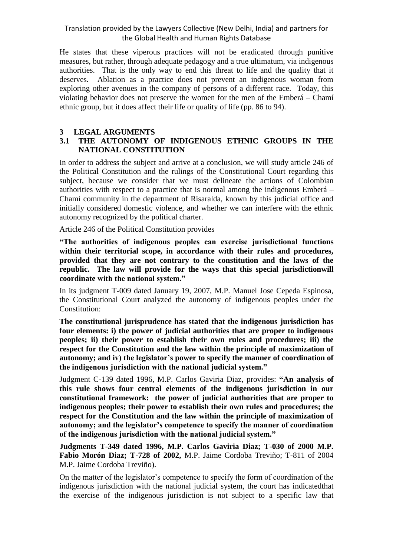He states that these viperous practices will not be eradicated through punitive measures, but rather, through adequate pedagogy and a true ultimatum, via indigenous authorities. That is the only way to end this threat to life and the quality that it deserves. Ablation as a practice does not prevent an indigenous woman from exploring other avenues in the company of persons of a different race. Today, this violating behavior does not preserve the women for the men of the Emberá – Chamí ethnic group, but it does affect their life or quality of life (pp. 86 to 94).

## **3 LEGAL ARGUMENTS**

## **3.1 THE AUTONOMY OF INDIGENOUS ETHNIC GROUPS IN THE NATIONAL CONSTITUTION**

In order to address the subject and arrive at a conclusion, we will study article 246 of the Political Constitution and the rulings of the Constitutional Court regarding this subject, because we consider that we must delineate the actions of Colombian authorities with respect to a practice that is normal among the indigenous Emberá – Chamí community in the department of Risaralda, known by this judicial office and initially considered domestic violence, and whether we can interfere with the ethnic autonomy recognized by the political charter.

Article 246 of the Political Constitution provides

**"The authorities of indigenous peoples can exercise jurisdictional functions within their territorial scope, in accordance with their rules and procedures, provided that they are not contrary to the constitution and the laws of the republic. The law will provide for the ways that this special jurisdictionwill coordinate with the national system."**

In its judgment T-009 dated January 19, 2007, M.P. Manuel Jose Cepeda Espinosa, the Constitutional Court analyzed the autonomy of indigenous peoples under the Constitution:

**The constitutional jurisprudence has stated that the indigenous jurisdiction has four elements: i) the power of judicial authorities that are proper to indigenous peoples; ii) their power to establish their own rules and procedures; iii) the respect for the Constitution and the law within the principle of maximization of autonomy; and iv) the legislator's power to specify the manner of coordination of the indigenous jurisdiction with the national judicial system."**

Judgment C-139 dated 1996, M.P. Carlos Gaviria Diaz, provides: **"An analysis of this rule shows four central elements of the indigenous jurisdiction in our constitutional framework: the power of judicial authorities that are proper to indigenous peoples; their power to establish their own rules and procedures; the respect for the Constitution and the law within the principle of maximization of autonomy; and the legislator's competence to specify the manner of coordination of the indigenous jurisdiction with the national judicial system."**

**Judgments T-349 dated 1996, M.P. Carlos Gaviria Diaz; T-030 of 2000 M.P. Fabio Morón Diaz; T-728 of 2002,** M.P. Jaime Cordoba Treviño; T-811 of 2004 M.P. Jaime Cordoba Treviño).

On the matter of the legislator's competence to specify the form of coordination of the indigenous jurisdiction with the national judicial system, the court has indicatedthat the exercise of the indigenous jurisdiction is not subject to a specific law that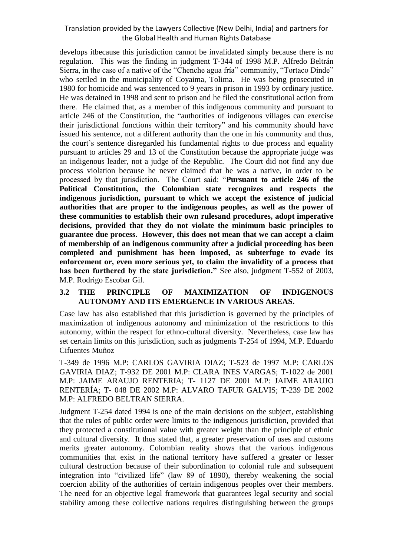develops itbecause this jurisdiction cannot be invalidated simply because there is no regulation. This was the finding in judgment T-344 of 1998 M.P. Alfredo Beltrán Sierra, in the case of a native of the "Chenche agua fría" community, "Tortaco Dinde" who settled in the municipality of Coyaima, Tolima. He was being prosecuted in 1980 for homicide and was sentenced to 9 years in prison in 1993 by ordinary justice. He was detained in 1998 and sent to prison and he filed the constitutional action from there. He claimed that, as a member of this indigenous community and pursuant to article 246 of the Constitution, the "authorities of indigenous villages can exercise their jurisdictional functions within their territory" and his community should have issued his sentence, not a different authority than the one in his community and thus, the court's sentence disregarded his fundamental rights to due process and equality pursuant to articles 29 and 13 of the Constitution because the appropriate judge was an indigenous leader, not a judge of the Republic. The Court did not find any due process violation because he never claimed that he was a native, in order to be processed by that jurisdiction. The Court said: "**Pursuant to article 246 of the Political Constitution, the Colombian state recognizes and respects the indigenous jurisdiction, pursuant to which we accept the existence of judicial authorities that are proper to the indigenous peoples, as well as the power of these communities to establish their own rulesand procedures, adopt imperative decisions, provided that they do not violate the minimum basic principles to guarantee due process. However, this does not mean that we can accept a claim of membership of an indigenous community after a judicial proceeding has been completed and punishment has been imposed, as subterfuge to evade its enforcement or, even more serious yet, to claim the invalidity of a process that has been furthered by the state jurisdiction."** See also, judgment T-552 of 2003, M.P. Rodrigo Escobar Gil.

#### **3.2 THE PRINCIPLE OF MAXIMIZATION OF INDIGENOUS AUTONOMY AND ITS EMERGENCE IN VARIOUS AREAS.**

Case law has also established that this jurisdiction is governed by the principles of maximization of indigenous autonomy and minimization of the restrictions to this autonomy, within the respect for ethno-cultural diversity. Nevertheless, case law has set certain limits on this jurisdiction, such as judgments T-254 of 1994, M.P. Eduardo Cifuentes Muñoz

T-349 de 1996 M.P: CARLOS GAVIRIA DIAZ; T-523 de 1997 M.P: CARLOS GAVIRIA DIAZ; T-932 DE 2001 M.P: CLARA INES VARGAS; T-1022 de 2001 M.P: JAIME ARAUJO RENTERIA; T- 1127 DE 2001 M.P: JAIME ARAUJO RENTERÍA; T- 048 DE 2002 M.P: ALVARO TAFUR GALVIS; T-239 DE 2002 M.P: ALFREDO BELTRAN SIERRA.

Judgment T-254 dated 1994 is one of the main decisions on the subject, establishing that the rules of public order were limits to the indigenous jurisdiction, provided that they protected a constitutional value with greater weight than the principle of ethnic and cultural diversity. It thus stated that, a greater preservation of uses and customs merits greater autonomy. Colombian reality shows that the various indigenous communities that exist in the national territory have suffered a greater or lesser cultural destruction because of their subordination to colonial rule and subsequent integration into "civilized life" (law 89 of 1890), thereby weakening the social coercion ability of the authorities of certain indigenous peoples over their members. The need for an objective legal framework that guarantees legal security and social stability among these collective nations requires distinguishing between the groups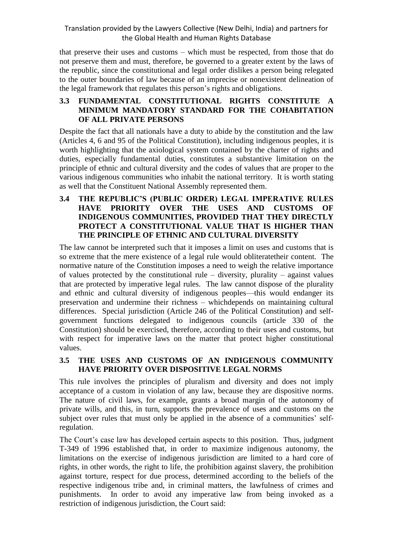that preserve their uses and customs – which must be respected, from those that do not preserve them and must, therefore, be governed to a greater extent by the laws of the republic, since the constitutional and legal order dislikes a person being relegated to the outer boundaries of law because of an imprecise or nonexistent delineation of the legal framework that regulates this person's rights and obligations.

## **3.3 FUNDAMENTAL CONSTITUTIONAL RIGHTS CONSTITUTE A MINIMUM MANDATORY STANDARD FOR THE COHABITATION OF ALL PRIVATE PERSONS**

Despite the fact that all nationals have a duty to abide by the constitution and the law (Articles 4, 6 and 95 of the Political Constitution), including indigenous peoples, it is worth highlighting that the axiological system contained by the charter of rights and duties, especially fundamental duties, constitutes a substantive limitation on the principle of ethnic and cultural diversity and the codes of values that are proper to the various indigenous communities who inhabit the national territory. It is worth stating as well that the Constituent National Assembly represented them.

**3.4 THE REPUBLIC'S (PUBLIC ORDER) LEGAL IMPERATIVE RULES HAVE PRIORITY OVER THE USES AND CUSTOMS OF INDIGENOUS COMMUNITIES, PROVIDED THAT THEY DIRECTLY PROTECT A CONSTITUTIONAL VALUE THAT IS HIGHER THAN THE PRINCIPLE OF ETHNIC AND CULTURAL DIVERSITY**

The law cannot be interpreted such that it imposes a limit on uses and customs that is so extreme that the mere existence of a legal rule would obliteratetheir content. The normative nature of the Constitution imposes a need to weigh the relative importance of values protected by the constitutional rule – diversity, plurality – against values that are protected by imperative legal rules. The law cannot dispose of the plurality and ethnic and cultural diversity of indigenous peoples—this would endanger its preservation and undermine their richness – whichdepends on maintaining cultural differences. Special jurisdiction (Article 246 of the Political Constitution) and selfgovernment functions delegated to indigenous councils (article 330 of the Constitution) should be exercised, therefore, according to their uses and customs, but with respect for imperative laws on the matter that protect higher constitutional values.

#### **3.5 THE USES AND CUSTOMS OF AN INDIGENOUS COMMUNITY HAVE PRIORITY OVER DISPOSITIVE LEGAL NORMS**

This rule involves the principles of pluralism and diversity and does not imply acceptance of a custom in violation of any law, because they are dispositive norms. The nature of civil laws, for example, grants a broad margin of the autonomy of private wills, and this, in turn, supports the prevalence of uses and customs on the subject over rules that must only be applied in the absence of a communities' selfregulation.

The Court's case law has developed certain aspects to this position. Thus, judgment T-349 of 1996 established that, in order to maximize indigenous autonomy, the limitations on the exercise of indigenous jurisdiction are limited to a hard core of rights, in other words, the right to life, the prohibition against slavery, the prohibition against torture, respect for due process, determined according to the beliefs of the respective indigenous tribe and, in criminal matters, the lawfulness of crimes and punishments. In order to avoid any imperative law from being invoked as a restriction of indigenous jurisdiction, the Court said: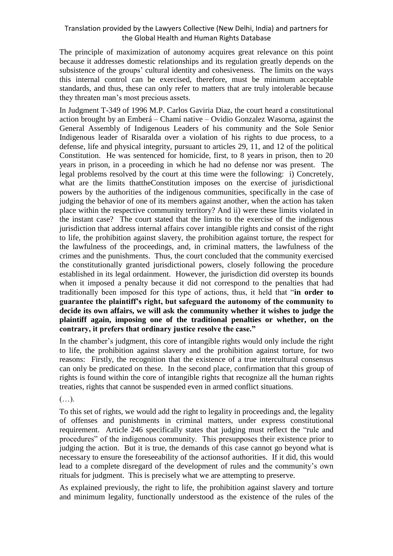The principle of maximization of autonomy acquires great relevance on this point because it addresses domestic relationships and its regulation greatly depends on the subsistence of the groups' cultural identity and cohesiveness. The limits on the ways this internal control can be exercised, therefore, must be minimum acceptable standards, and thus, these can only refer to matters that are truly intolerable because they threaten man's most precious assets.

In Judgment T-349 of 1996 M.P. Carlos Gaviria Diaz, the court heard a constitutional action brought by an Emberá – Chamí native – Ovidio Gonzalez Wasorna, against the General Assembly of Indigenous Leaders of his community and the Sole Senior Indigenous leader of Risaralda over a violation of his rights to due process, to a defense, life and physical integrity, pursuant to articles 29, 11, and 12 of the political Constitution. He was sentenced for homicide, first, to 8 years in prison, then to 20 years in prison, in a proceeding in which he had no defense nor was present. The legal problems resolved by the court at this time were the following: i) Concretely, what are the limits thattheConstitution imposes on the exercise of jurisdictional powers by the authorities of the indigenous communities, specifically in the case of judging the behavior of one of its members against another, when the action has taken place within the respective community territory? And ii) were these limits violated in the instant case? The court stated that the limits to the exercise of the indigenous jurisdiction that address internal affairs cover intangible rights and consist of the right to life, the prohibition against slavery, the prohibition against torture, the respect for the lawfulness of the proceedings, and, in criminal matters, the lawfulness of the crimes and the punishments. Thus, the court concluded that the community exercised the constitutionally granted jurisdictional powers, closely following the procedure established in its legal ordainment. However, the jurisdiction did overstep its bounds when it imposed a penalty because it did not correspond to the penalties that had traditionally been imposed for this type of actions, thus, it held that "**in order to guarantee the plaintiff's right, but safeguard the autonomy of the community to decide its own affairs, we will ask the community whether it wishes to judge the plaintiff again, imposing one of the traditional penalties or whether, on the contrary, it prefers that ordinary justice resolve the case."**

In the chamber's judgment, this core of intangible rights would only include the right to life, the prohibition against slavery and the prohibition against torture, for two reasons: Firstly, the recognition that the existence of a true intercultural consensus can only be predicated on these. In the second place, confirmation that this group of rights is found within the core of intangible rights that recognize all the human rights treaties, rights that cannot be suspended even in armed conflict situations.

(…).

To this set of rights, we would add the right to legality in proceedings and, the legality of offenses and punishments in criminal matters, under express constitutional requirement. Article 246 specifically states that judging must reflect the "rule and procedures" of the indigenous community. This presupposes their existence prior to judging the action. But it is true, the demands of this case cannot go beyond what is necessary to ensure the foreseeability of the actionsof authorities. If it did, this would lead to a complete disregard of the development of rules and the community's own rituals for judgment. This is precisely what we are attempting to preserve.

As explained previously, the right to life, the prohibition against slavery and torture and minimum legality, functionally understood as the existence of the rules of the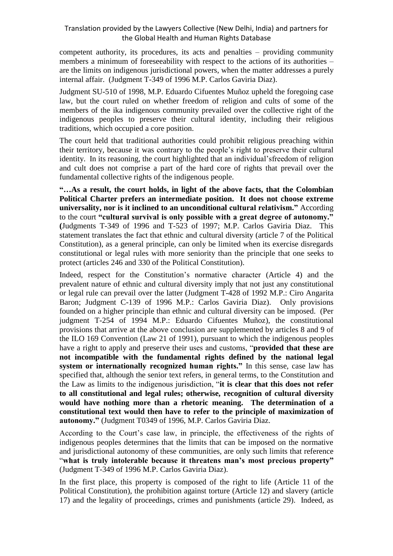competent authority, its procedures, its acts and penalties – providing community members a minimum of foreseeability with respect to the actions of its authorities – are the limits on indigenous jurisdictional powers, when the matter addresses a purely internal affair. (Judgment T-349 of 1996 M.P. Carlos Gaviria Diaz).

Judgment SU-510 of 1998, M.P. Eduardo Cifuentes Muñoz upheld the foregoing case law, but the court ruled on whether freedom of religion and cults of some of the members of the ika indigenous community prevailed over the collective right of the indigenous peoples to preserve their cultural identity, including their religious traditions, which occupied a core position.

The court held that traditional authorities could prohibit religious preaching within their territory, because it was contrary to the people's right to preserve their cultural identity. In its reasoning, the court highlighted that an individual'sfreedom of religion and cult does not comprise a part of the hard core of rights that prevail over the fundamental collective rights of the indigenous people.

**"…As a result, the court holds, in light of the above facts, that the Colombian Political Charter prefers an intermediate position. It does not choose extreme universality, nor is it inclined to an unconditional cultural relativism."** According to the court **"cultural survival is only possible with a great degree of autonomy." (**Judgments T-349 of 1996 and T-523 of 1997; M.P. Carlos Gaviria Diaz. This statement translates the fact that ethnic and cultural diversity (article 7 of the Political Constitution), as a general principle, can only be limited when its exercise disregards constitutional or legal rules with more seniority than the principle that one seeks to protect (articles 246 and 330 of the Political Constitution).

Indeed, respect for the Constitution's normative character (Article 4) and the prevalent nature of ethnic and cultural diversity imply that not just any constitutional or legal rule can prevail over the latter (Judgment T-428 of 1992 M.P.: Ciro Angarita Baron; Judgment C-139 of 1996 M.P.: Carlos Gaviria Diaz). Only provisions founded on a higher principle than ethnic and cultural diversity can be imposed. (Per judgment T-254 of 1994 M.P.: Eduardo Cifuentes Muñoz), the constitutional provisions that arrive at the above conclusion are supplemented by articles 8 and 9 of the ILO 169 Convention (Law 21 of 1991), pursuant to which the indigenous peoples have a right to apply and preserve their uses and customs, "**provided that these are not incompatible with the fundamental rights defined by the national legal system or internationally recognized human rights."** In this sense, case law has specified that, although the senior text refers, in general terms, to the Constitution and the Law as limits to the indigenous jurisdiction, "**it is clear that this does not refer to all constitutional and legal rules; otherwise, recognition of cultural diversity would have nothing more than a rhetoric meaning. The determination of a constitutional text would then have to refer to the principle of maximization of autonomy."** (Judgment T0349 of 1996, M.P. Carlos Gaviria Diaz.

According to the Court's case law, in principle, the effectiveness of the rights of indigenous peoples determines that the limits that can be imposed on the normative and jurisdictional autonomy of these communities, are only such limits that reference "**what is truly intolerable because it threatens man's most precious property"**  (Judgment T-349 of 1996 M.P. Carlos Gaviria Diaz).

In the first place, this property is composed of the right to life (Article 11 of the Political Constitution), the prohibition against torture (Article 12) and slavery (article 17) and the legality of proceedings, crimes and punishments (article 29). Indeed, as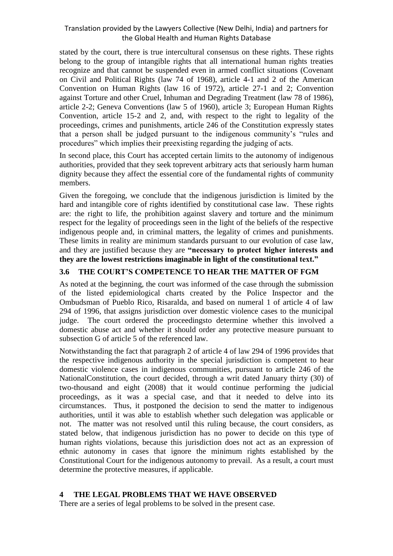stated by the court, there is true intercultural consensus on these rights. These rights belong to the group of intangible rights that all international human rights treaties recognize and that cannot be suspended even in armed conflict situations (Covenant on Civil and Political Rights (law 74 of 1968), article 4-1 and 2 of the American Convention on Human Rights (law 16 of 1972), article 27-1 and 2; Convention against Torture and other Cruel, Inhuman and Degrading Treatment (law 78 of 1986), article 2-2; Geneva Conventions (law 5 of 1960), article 3; European Human Rights Convention, article 15-2 and 2, and, with respect to the right to legality of the proceedings, crimes and punishments, article 246 of the Constitution expressly states that a person shall be judged pursuant to the indigenous community's "rules and procedures" which implies their preexisting regarding the judging of acts.

In second place, this Court has accepted certain limits to the autonomy of indigenous authorities, provided that they seek toprevent arbitrary acts that seriously harm human dignity because they affect the essential core of the fundamental rights of community members.

Given the foregoing, we conclude that the indigenous jurisdiction is limited by the hard and intangible core of rights identified by constitutional case law. These rights are: the right to life, the prohibition against slavery and torture and the minimum respect for the legality of proceedings seen in the light of the beliefs of the respective indigenous people and, in criminal matters, the legality of crimes and punishments. These limits in reality are minimum standards pursuant to our evolution of case law, and they are justified because they are **"necessary to protect higher interests and they are the lowest restrictions imaginable in light of the constitutional text."** 

## **3.6 THE COURT'S COMPETENCE TO HEAR THE MATTER OF FGM**

As noted at the beginning, the court was informed of the case through the submission of the listed epidemiological charts created by the Police Inspector and the Ombudsman of Pueblo Rico, Risaralda, and based on numeral 1 of article 4 of law 294 of 1996, that assigns jurisdiction over domestic violence cases to the municipal judge. The court ordered the proceedingsto determine whether this involved a domestic abuse act and whether it should order any protective measure pursuant to subsection G of article 5 of the referenced law.

Notwithstanding the fact that paragraph 2 of article 4 of law 294 of 1996 provides that the respective indigenous authority in the special jurisdiction is competent to hear domestic violence cases in indigenous communities, pursuant to article 246 of the NationalConstitution, the court decided, through a writ dated January thirty (30) of two-thousand and eight (2008) that it would continue performing the judicial proceedings, as it was a special case, and that it needed to delve into its circumstances. Thus, it postponed the decision to send the matter to indigenous authorities, until it was able to establish whether such delegation was applicable or not. The matter was not resolved until this ruling because, the court considers, as stated below, that indigenous jurisdiction has no power to decide on this type of human rights violations, because this jurisdiction does not act as an expression of ethnic autonomy in cases that ignore the minimum rights established by the Constitutional Court for the indigenous autonomy to prevail. As a result, a court must determine the protective measures, if applicable.

## **4 THE LEGAL PROBLEMS THAT WE HAVE OBSERVED**

There are a series of legal problems to be solved in the present case.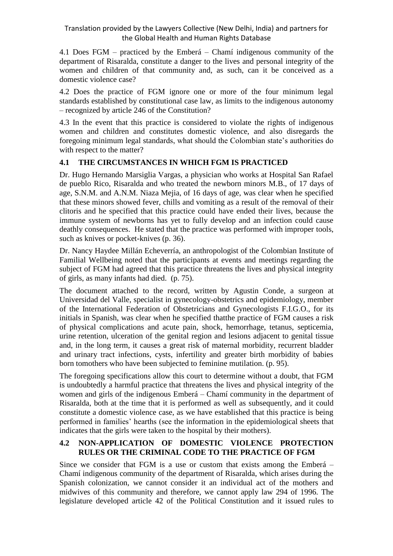4.1 Does FGM – practiced by the Emberá – Chamí indigenous community of the department of Risaralda, constitute a danger to the lives and personal integrity of the women and children of that community and, as such, can it be conceived as a domestic violence case?

4.2 Does the practice of FGM ignore one or more of the four minimum legal standards established by constitutional case law, as limits to the indigenous autonomy – recognized by article 246 of the Constitution?

4.3 In the event that this practice is considered to violate the rights of indigenous women and children and constitutes domestic violence, and also disregards the foregoing minimum legal standards, what should the Colombian state's authorities do with respect to the matter?

# **4.1 THE CIRCUMSTANCES IN WHICH FGM IS PRACTICED**

Dr. Hugo Hernando Marsiglia Vargas, a physician who works at Hospital San Rafael de pueblo Rico, Risaralda and who treated the newborn minors M.B., of 17 days of age, S.N.M. and A.N.M. Niaza Mejia, of 16 days of age, was clear when he specified that these minors showed fever, chills and vomiting as a result of the removal of their clitoris and he specified that this practice could have ended their lives, because the immune system of newborns has yet to fully develop and an infection could cause deathly consequences. He stated that the practice was performed with improper tools, such as knives or pocket-knives (p. 36).

Dr. Nancy Haydee Millán Echeverría, an anthropologist of the Colombian Institute of Familial Wellbeing noted that the participants at events and meetings regarding the subject of FGM had agreed that this practice threatens the lives and physical integrity of girls, as many infants had died. (p. 75).

The document attached to the record, written by Agustin Conde, a surgeon at Universidad del Valle, specialist in gynecology-obstetrics and epidemiology, member of the International Federation of Obstetricians and Gynecologists F.I.G.O., for its initials in Spanish, was clear when he specified thatthe practice of FGM causes a risk of physical complications and acute pain, shock, hemorrhage, tetanus, septicemia, urine retention, ulceration of the genital region and lesions adjacent to genital tissue and, in the long term, it causes a great risk of maternal morbidity, recurrent bladder and urinary tract infections, cysts, infertility and greater birth morbidity of babies born tomothers who have been subjected to feminine mutilation. (p. 95).

The foregoing specifications allow this court to determine without a doubt, that FGM is undoubtedly a harmful practice that threatens the lives and physical integrity of the women and girls of the indigenous Emberá – Chamí community in the department of Risaralda, both at the time that it is performed as well as subsequently, and it could constitute a domestic violence case, as we have established that this practice is being performed in families' hearths (see the information in the epidemiological sheets that indicates that the girls were taken to the hospital by their mothers).

## **4.2 NON-APPLICATION OF DOMESTIC VIOLENCE PROTECTION RULES OR THE CRIMINAL CODE TO THE PRACTICE OF FGM**

Since we consider that FGM is a use or custom that exists among the Emberá – Chamí indigenous community of the department of Risaralda, which arises during the Spanish colonization, we cannot consider it an individual act of the mothers and midwives of this community and therefore, we cannot apply law 294 of 1996. The legislature developed article 42 of the Political Constitution and it issued rules to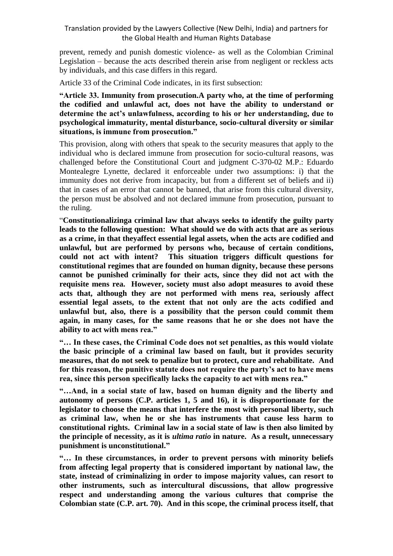prevent, remedy and punish domestic violence- as well as the Colombian Criminal Legislation – because the acts described therein arise from negligent or reckless acts by individuals, and this case differs in this regard.

Article 33 of the Criminal Code indicates, in its first subsection:

**"Article 33. Immunity from prosecution.A party who, at the time of performing the codified and unlawful act, does not have the ability to understand or determine the act's unlawfulness, according to his or her understanding, due to psychological immaturity, mental disturbance, socio-cultural diversity or similar situations, is immune from prosecution."**

This provision, along with others that speak to the security measures that apply to the individual who is declared immune from prosecution for socio-cultural reasons, was challenged before the Constitutional Court and judgment C-370-02 M.P.: Eduardo Montealegre Lynette, declared it enforceable under two assumptions: i) that the immunity does not derive from incapacity, but from a different set of beliefs and ii) that in cases of an error that cannot be banned, that arise from this cultural diversity, the person must be absolved and not declared immune from prosecution, pursuant to the ruling.

"**Constitutionalizinga criminal law that always seeks to identify the guilty party leads to the following question: What should we do with acts that are as serious as a crime, in that theyaffect essential legal assets, when the acts are codified and unlawful, but are performed by persons who, because of certain conditions, could not act with intent? This situation triggers difficult questions for constitutional regimes that are founded on human dignity, because these persons cannot be punished criminally for their acts, since they did not act with the requisite mens rea. However, society must also adopt measures to avoid these acts that, although they are not performed with mens rea, seriously affect essential legal assets, to the extent that not only are the acts codified and unlawful but, also, there is a possibility that the person could commit them again, in many cases, for the same reasons that he or she does not have the ability to act with mens rea."** 

**"… In these cases, the Criminal Code does not set penalties, as this would violate the basic principle of a criminal law based on fault, but it provides security measures, that do not seek to penalize but to protect, cure and rehabilitate. And for this reason, the punitive statute does not require the party's act to have mens rea, since this person specifically lacks the capacity to act with mens rea."**

**"…And, in a social state of law, based on human dignity and the liberty and autonomy of persons (C.P. articles 1, 5 and 16), it is disproportionate for the legislator to choose the means that interfere the most with personal liberty, such as criminal law, when he or she has instruments that cause less harm to constitutional rights. Criminal law in a social state of law is then also limited by the principle of necessity, as it is** *ultima ratio* **in nature. As a result, unnecessary punishment is unconstitutional."**

**"… In these circumstances, in order to prevent persons with minority beliefs from affecting legal property that is considered important by national law, the state, instead of criminalizing in order to impose majority values, can resort to other instruments, such as intercultural discussions, that allow progressive respect and understanding among the various cultures that comprise the Colombian state (C.P. art. 70). And in this scope, the criminal process itself, that**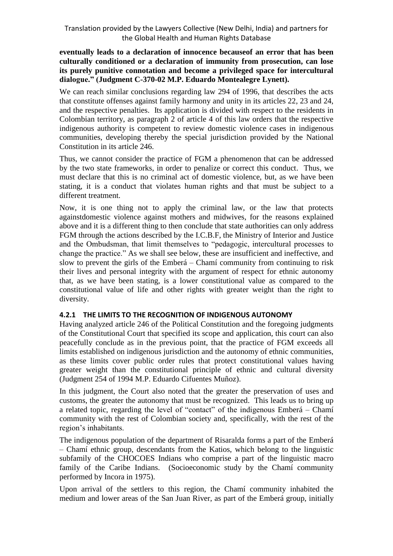#### **eventually leads to a declaration of innocence becauseof an error that has been culturally conditioned or a declaration of immunity from prosecution, can lose its purely punitive connotation and become a privileged space for intercultural dialogue." (Judgment C-370-02 M.P. Eduardo Montealegre Lynett).**

We can reach similar conclusions regarding law 294 of 1996, that describes the acts that constitute offenses against family harmony and unity in its articles 22, 23 and 24, and the respective penalties. Its application is divided with respect to the residents in Colombian territory, as paragraph 2 of article 4 of this law orders that the respective indigenous authority is competent to review domestic violence cases in indigenous communities, developing thereby the special jurisdiction provided by the National Constitution in its article 246.

Thus, we cannot consider the practice of FGM a phenomenon that can be addressed by the two state frameworks, in order to penalize or correct this conduct. Thus, we must declare that this is no criminal act of domestic violence, but, as we have been stating, it is a conduct that violates human rights and that must be subject to a different treatment.

Now, it is one thing not to apply the criminal law, or the law that protects againstdomestic violence against mothers and midwives, for the reasons explained above and it is a different thing to then conclude that state authorities can only address FGM through the actions described by the I.C.B.F, the Ministry of Interior and Justice and the Ombudsman, that limit themselves to "pedagogic, intercultural processes to change the practice." As we shall see below, these are insufficient and ineffective, and slow to prevent the girls of the Emberá – Chamí community from continuing to risk their lives and personal integrity with the argument of respect for ethnic autonomy that, as we have been stating, is a lower constitutional value as compared to the constitutional value of life and other rights with greater weight than the right to diversity.

## **4.2.1 THE LIMITS TO THE RECOGNITION OF INDIGENOUS AUTONOMY**

Having analyzed article 246 of the Political Constitution and the foregoing judgments of the Constitutional Court that specified its scope and application, this court can also peacefully conclude as in the previous point, that the practice of FGM exceeds all limits established on indigenous jurisdiction and the autonomy of ethnic communities, as these limits cover public order rules that protect constitutional values having greater weight than the constitutional principle of ethnic and cultural diversity (Judgment 254 of 1994 M.P. Eduardo Cifuentes Muñoz).

In this judgment, the Court also noted that the greater the preservation of uses and customs, the greater the autonomy that must be recognized. This leads us to bring up a related topic, regarding the level of "contact" of the indigenous Emberá – Chamí community with the rest of Colombian society and, specifically, with the rest of the region's inhabitants.

The indigenous population of the department of Risaralda forms a part of the Emberá – Chamí ethnic group, descendants from the Katios, which belong to the linguistic subfamily of the CHOCOES Indians who comprise a part of the linguistic macro family of the Caribe Indians. (Socioeconomic study by the Chamí community performed by Incora in 1975).

Upon arrival of the settlers to this region, the Chamí community inhabited the medium and lower areas of the San Juan River, as part of the Emberá group, initially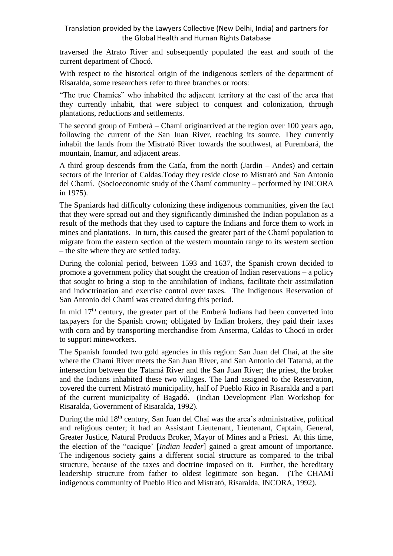traversed the Atrato River and subsequently populated the east and south of the current department of Chocó.

With respect to the historical origin of the indigenous settlers of the department of Risaralda, some researchers refer to three branches or roots:

"The true Chamíes" who inhabited the adjacent territory at the east of the area that they currently inhabit, that were subject to conquest and colonization, through plantations, reductions and settlements.

The second group of Emberá – Chamí originarrived at the region over 100 years ago, following the current of the San Juan River, reaching its source. They currently inhabit the lands from the Mistrató River towards the southwest, at Purembará, the mountain, Inamur, and adjacent areas.

A third group descends from the Catía, from the north (Jardin – Andes) and certain sectors of the interior of Caldas.Today they reside close to Mistrató and San Antonio del Chamí. (Socioeconomic study of the Chamí community – performed by INCORA in 1975).

The Spaniards had difficulty colonizing these indigenous communities, given the fact that they were spread out and they significantly diminished the Indian population as a result of the methods that they used to capture the Indians and force them to work in mines and plantations. In turn, this caused the greater part of the Chamí population to migrate from the eastern section of the western mountain range to its western section – the site where they are settled today.

During the colonial period, between 1593 and 1637, the Spanish crown decided to promote a government policy that sought the creation of Indian reservations – a policy that sought to bring a stop to the annihilation of Indians, facilitate their assimilation and indoctrination and exercise control over taxes. The Indigenous Reservation of San Antonio del Chamí was created during this period.

In mid  $17<sup>th</sup>$  century, the greater part of the Emberá Indians had been converted into taxpayers for the Spanish crown; obligated by Indian brokers, they paid their taxes with corn and by transporting merchandise from Anserma, Caldas to Chocó in order to support mineworkers.

The Spanish founded two gold agencies in this region: San Juan del Chaí, at the site where the Chamí River meets the San Juan River, and San Antonio del Tatamá, at the intersection between the Tatamá River and the San Juan River; the priest, the broker and the Indians inhabited these two villages. The land assigned to the Reservation, covered the current Mistrató municipality, half of Pueblo Rico in Risaralda and a part of the current municipality of Bagadó. (Indian Development Plan Workshop for Risaralda, Government of Risaralda, 1992).

During the mid 18<sup>th</sup> century, San Juan del Chaí was the area's administrative, political and religious center; it had an Assistant Lieutenant, Lieutenant, Captain, General, Greater Justice, Natural Products Broker, Mayor of Mines and a Priest. At this time, the election of the "cacique' [*Indian leader*] gained a great amount of importance. The indigenous society gains a different social structure as compared to the tribal structure, because of the taxes and doctrine imposed on it. Further, the hereditary leadership structure from father to oldest legitimate son began. (The CHAMÍ indigenous community of Pueblo Rico and Mistrató, Risaralda, INCORA, 1992).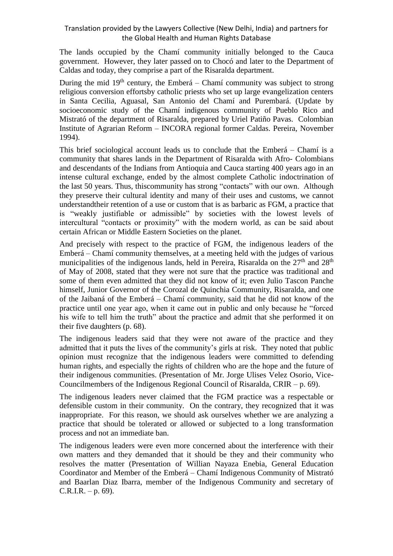The lands occupied by the Chamí community initially belonged to the Cauca government. However, they later passed on to Chocó and later to the Department of Caldas and today, they comprise a part of the Risaralda department.

During the mid  $19<sup>th</sup>$  century, the Emberá – Chamí community was subject to strong religious conversion effortsby catholic priests who set up large evangelization centers in Santa Cecilia, Aguasal, San Antonio del Chamí and Purembará. (Update by socioeconomic study of the Chamí indigenous community of Pueblo Rico and Mistrató of the department of Risaralda, prepared by Uriel Patiño Pavas. Colombian Institute of Agrarian Reform – INCORA regional former Caldas. Pereira, November 1994).

This brief sociological account leads us to conclude that the Emberá – Chamí is a community that shares lands in the Department of Risaralda with Afro- Colombians and descendants of the Indians from Antioquia and Cauca starting 400 years ago in an intense cultural exchange, ended by the almost complete Catholic indoctrination of the last 50 years. Thus, thiscommunity has strong "contacts" with our own. Although they preserve their cultural identity and many of their uses and customs, we cannot understandtheir retention of a use or custom that is as barbaric as FGM, a practice that is "weakly justifiable or admissible" by societies with the lowest levels of intercultural "contacts or proximity" with the modern world, as can be said about certain African or Middle Eastern Societies on the planet.

And precisely with respect to the practice of FGM, the indigenous leaders of the Emberá – Chamí community themselves, at a meeting held with the judges of various municipalities of the indigenous lands, held in Pereira, Risaralda on the  $27<sup>th</sup>$  and  $28<sup>th</sup>$ of May of 2008, stated that they were not sure that the practice was traditional and some of them even admitted that they did not know of it; even Julio Tascon Panche himself, Junior Governor of the Corozal de Quinchia Community, Risaralda, and one of the Jaibaná of the Emberá – Chamí community, said that he did not know of the practice until one year ago, when it came out in public and only because he "forced his wife to tell him the truth" about the practice and admit that she performed it on their five daughters (p. 68).

The indigenous leaders said that they were not aware of the practice and they admitted that it puts the lives of the community's girls at risk. They noted that public opinion must recognize that the indigenous leaders were committed to defending human rights, and especially the rights of children who are the hope and the future of their indigenous communities. (Presentation of Mr. Jorge Ulises Velez Osorio, Vice-Councilmembers of the Indigenous Regional Council of Risaralda, CRIR – p. 69).

The indigenous leaders never claimed that the FGM practice was a respectable or defensible custom in their community. On the contrary, they recognized that it was inappropriate. For this reason, we should ask ourselves whether we are analyzing a practice that should be tolerated or allowed or subjected to a long transformation process and not an immediate ban.

The indigenous leaders were even more concerned about the interference with their own matters and they demanded that it should be they and their community who resolves the matter (Presentation of Willian Nayaza Enebia, General Education Coordinator and Member of the Emberá – Chamí Indigenous Community of Mistrató and Baarlan Diaz Ibarra, member of the Indigenous Community and secretary of  $C.R.I.R. - p. 69$ .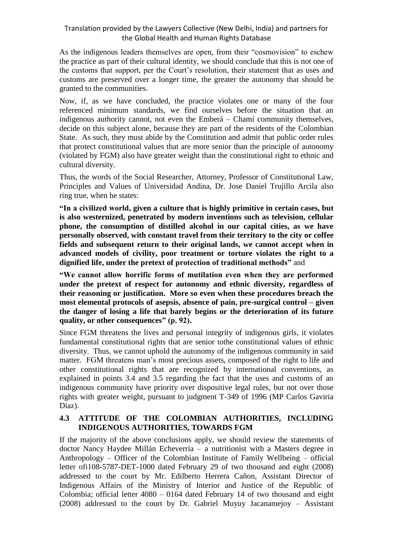As the indigenous leaders themselves are open, from their "cosmovision" to eschew the practice as part of their cultural identity, we should conclude that this is not one of the customs that support, per the Court's resolution, their statement that as uses and customs are preserved over a longer time, the greater the autonomy that should be granted to the communities.

Now, if, as we have concluded, the practice violates one or many of the four referenced minimum standards, we find ourselves before the situation that an indigenous authority cannot, not even the Emberá – Chamí community themselves, decide on this subject alone, because they are part of the residents of the Colombian State. As such, they must abide by the Constitution and admit that public order rules that protect constitutional values that are more senior than the principle of autonomy (violated by FGM) also have greater weight than the constitutional right to ethnic and cultural diversity.

Thus, the words of the Social Researcher, Attorney, Professor of Constitutional Law, Principles and Values of Universidad Andina, Dr. Jose Daniel Trujillo Arcila also ring true, when he states:

**"In a civilized world, given a culture that is highly primitive in certain cases, but is also westernized, penetrated by modern inventions such as television, cellular phone, the consumption of distilled alcohol in our capital cities, as we have personally observed, with constant travel from their territory to the city or coffee fields and subsequent return to their original lands, we cannot accept when in advanced models of civility, poor treatment or torture violates the right to a dignified life, under the pretext of protection of traditional methods"** and

**"We cannot allow horrific forms of mutilation even when they are performed under the pretext of respect for autonomy and ethnic diversity, regardless of their reasoning or justification. More so even when these procedures breach the most elemental protocols of asepsis, absence of pain, pre-surgical control – given the danger of losing a life that barely begins or the deterioration of its future quality, or other consequences" (p. 92).** 

Since FGM threatens the lives and personal integrity of indigenous girls, it violates fundamental constitutional rights that are senior tothe constitutional values of ethnic diversity. Thus, we cannot uphold the autonomy of the indigenous community in said matter. FGM threatens man's most precious assets, composed of the right to life and other constitutional rights that are recognized by international conventions, as explained in points 3.4 and 3.5 regarding the fact that the uses and customs of an indigenous community have priority over dispositive legal rules, but not over those rights with greater weight, pursuant to judgment T-349 of 1996 (MP Carlos Gaviria Diaz).

## **4.3 ATTITUDE OF THE COLOMBIAN AUTHORITIES, INCLUDING INDIGENOUS AUTHORITIES, TOWARDS FGM**

If the majority of the above conclusions apply, we should review the statements of doctor Nancy Haydee Millán Echeverría – a nutritionist with a Masters degree in Anthropology – Officer of the Colombian Institute of Family Wellbeing – official letter ofi108-5787-DET-1000 dated February 29 of two thousand and eight (2008) addressed to the court by Mr. Edilberto Herrera Cañon, Assistant Director of Indigenous Affairs of the Ministry of Interior and Justice of the Republic of Colombia; official letter 4080 – 0164 dated February 14 of two thousand and eight (2008) addressed to the court by Dr. Gabriel Muyuy Jacanamejoy – Assistant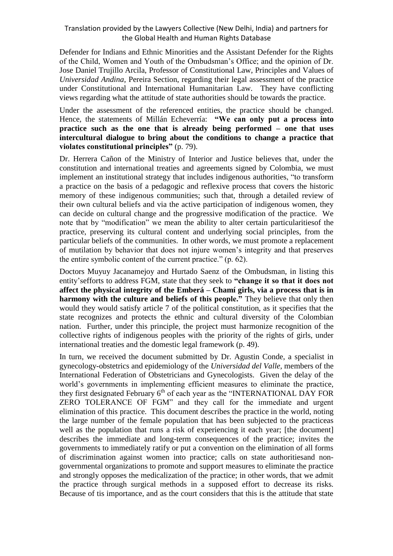Defender for Indians and Ethnic Minorities and the Assistant Defender for the Rights of the Child, Women and Youth of the Ombudsman's Office; and the opinion of Dr. Jose Daniel Trujillo Arcila, Professor of Constitutional Law, Principles and Values of *Universidad Andina,* Pereira Section, regarding their legal assessment of the practice under Constitutional and International Humanitarian Law. They have conflicting views regarding what the attitude of state authorities should be towards the practice.

Under the assessment of the referenced entities, the practice should be changed. Hence, the statements of Millán Echeverría: **"We can only put a process into practice such as the one that is already being performed – one that uses intercultural dialogue to bring about the conditions to change a practice that violates constitutional principles"** (p. 79).

Dr. Herrera Cañon of the Ministry of Interior and Justice believes that, under the constitution and international treaties and agreements signed by Colombia, we must implement an institutional strategy that includes indigenous authorities, "to transform a practice on the basis of a pedagogic and reflexive process that covers the historic memory of these indigenous communities; such that, through a detailed review of their own cultural beliefs and via the active participation of indigenous women, they can decide on cultural change and the progressive modification of the practice. We note that by "modification" we mean the ability to alter certain particularitiesof the practice, preserving its cultural content and underlying social principles, from the particular beliefs of the communities. In other words, we must promote a replacement of mutilation by behavior that does not injure women's integrity and that preserves the entire symbolic content of the current practice." (p. 62).

Doctors Muyuy Jacanamejoy and Hurtado Saenz of the Ombudsman, in listing this entity'sefforts to address FGM, state that they seek to **"change it so that it does not affect the physical integrity of the Emberá – Chamí girls, via a process that is in harmony with the culture and beliefs of this people."** They believe that only then would they would satisfy article 7 of the political constitution, as it specifies that the state recognizes and protects the ethnic and cultural diversity of the Colombian nation. Further, under this principle, the project must harmonize recognition of the collective rights of indigenous peoples with the priority of the rights of girls, under international treaties and the domestic legal framework (p. 49).

In turn, we received the document submitted by Dr. Agustin Conde, a specialist in gynecology-obstetrics and epidemiology of the *Universidad del Valle,* members of the International Federation of Obstetricians and Gynecologists. Given the delay of the world's governments in implementing efficient measures to eliminate the practice, they first designated February 6<sup>th</sup> of each year as the "INTERNATIONAL DAY FOR ZERO TOLERANCE OF FGM" and they call for the immediate and urgent elimination of this practice. This document describes the practice in the world, noting the large number of the female population that has been subjected to the practiceas well as the population that runs a risk of experiencing it each year; [the document] describes the immediate and long-term consequences of the practice; invites the governments to immediately ratify or put a convention on the elimination of all forms of discrimination against women into practice; calls on state authoritiesand nongovernmental organizations to promote and support measures to eliminate the practice and strongly opposes the medicalization of the practice; in other words, that we admit the practice through surgical methods in a supposed effort to decrease its risks. Because of tis importance, and as the court considers that this is the attitude that state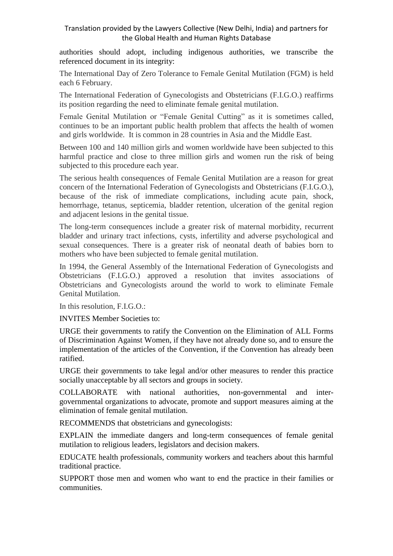authorities should adopt, including indigenous authorities, we transcribe the referenced document in its integrity:

The International Day of Zero Tolerance to Female Genital Mutilation (FGM) is held each 6 February.

The International Federation of Gynecologists and Obstetricians (F.I.G.O.) reaffirms its position regarding the need to eliminate female genital mutilation.

Female Genital Mutilation or "Female Genital Cutting" as it is sometimes called, continues to be an important public health problem that affects the health of women and girls worldwide. It is common in 28 countries in Asia and the Middle East.

Between 100 and 140 million girls and women worldwide have been subjected to this harmful practice and close to three million girls and women run the risk of being subjected to this procedure each year.

The serious health consequences of Female Genital Mutilation are a reason for great concern of the International Federation of Gynecologists and Obstetricians (F.I.G.O.), because of the risk of immediate complications, including acute pain, shock, hemorrhage, tetanus, septicemia, bladder retention, ulceration of the genital region and adjacent lesions in the genital tissue.

The long-term consequences include a greater risk of maternal morbidity, recurrent bladder and urinary tract infections, cysts, infertility and adverse psychological and sexual consequences. There is a greater risk of neonatal death of babies born to mothers who have been subjected to female genital mutilation.

In 1994, the General Assembly of the International Federation of Gynecologists and Obstetricians (F.I.G.O.) approved a resolution that invites associations of Obstetricians and Gynecologists around the world to work to eliminate Female Genital Mutilation.

In this resolution, F.I.G.O.:

INVITES Member Societies to:

URGE their governments to ratify the Convention on the Elimination of ALL Forms of Discrimination Against Women, if they have not already done so, and to ensure the implementation of the articles of the Convention, if the Convention has already been ratified.

URGE their governments to take legal and/or other measures to render this practice socially unacceptable by all sectors and groups in society.

COLLABORATE with national authorities, non-governmental and intergovernmental organizations to advocate, promote and support measures aiming at the elimination of female genital mutilation.

RECOMMENDS that obstetricians and gynecologists:

EXPLAIN the immediate dangers and long-term consequences of female genital mutilation to religious leaders, legislators and decision makers.

EDUCATE health professionals, community workers and teachers about this harmful traditional practice.

SUPPORT those men and women who want to end the practice in their families or communities.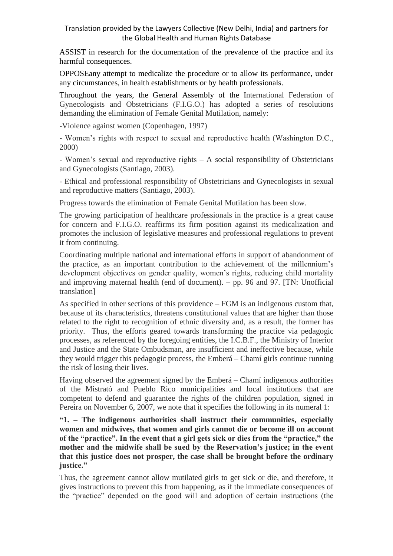ASSIST in research for the documentation of the prevalence of the practice and its harmful consequences.

OPPOSEany attempt to medicalize the procedure or to allow its performance, under any circumstances, in health establishments or by health professionals.

Throughout the years, the General Assembly of the International Federation of Gynecologists and Obstetricians (F.I.G.O.) has adopted a series of resolutions demanding the elimination of Female Genital Mutilation, namely:

-Violence against women (Copenhagen, 1997)

- Women's rights with respect to sexual and reproductive health (Washington D.C., 2000)

- Women's sexual and reproductive rights – A social responsibility of Obstetricians and Gynecologists (Santiago, 2003).

- Ethical and professional responsibility of Obstetricians and Gynecologists in sexual and reproductive matters (Santiago, 2003).

Progress towards the elimination of Female Genital Mutilation has been slow.

The growing participation of healthcare professionals in the practice is a great cause for concern and F.I.G.O. reaffirms its firm position against its medicalization and promotes the inclusion of legislative measures and professional regulations to prevent it from continuing.

Coordinating multiple national and international efforts in support of abandonment of the practice, as an important contribution to the achievement of the millennium's development objectives on gender quality, women's rights, reducing child mortality and improving maternal health (end of document). – pp. 96 and 97. [TN: Unofficial translation]

As specified in other sections of this providence – FGM is an indigenous custom that, because of its characteristics, threatens constitutional values that are higher than those related to the right to recognition of ethnic diversity and, as a result, the former has priority. Thus, the efforts geared towards transforming the practice via pedagogic processes, as referenced by the foregoing entities, the I.C.B.F., the Ministry of Interior and Justice and the State Ombudsman, are insufficient and ineffective because, while they would trigger this pedagogic process, the Emberá – Chamí girls continue running the risk of losing their lives.

Having observed the agreement signed by the Emberá – Chamí indigenous authorities of the Mistrató and Pueblo Rico municipalities and local institutions that are competent to defend and guarantee the rights of the children population, signed in Pereira on November 6, 2007, we note that it specifies the following in its numeral 1:

**"1. – The indigenous authorities shall instruct their communities, especially women and midwives, that women and girls cannot die or become ill on account of the "practice". In the event that a girl gets sick or dies from the "practice," the mother and the midwife shall be sued by the Reservation's justice; in the event that this justice does not prosper, the case shall be brought before the ordinary justice."** 

Thus, the agreement cannot allow mutilated girls to get sick or die, and therefore, it gives instructions to prevent this from happening, as if the immediate consequences of the "practice" depended on the good will and adoption of certain instructions (the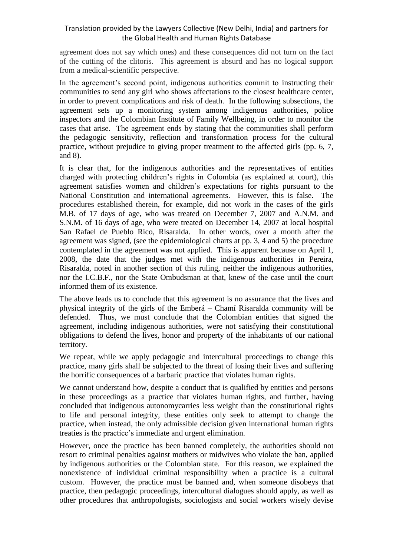agreement does not say which ones) and these consequences did not turn on the fact of the cutting of the clitoris. This agreement is absurd and has no logical support from a medical-scientific perspective.

In the agreement's second point, indigenous authorities commit to instructing their communities to send any girl who shows affectations to the closest healthcare center, in order to prevent complications and risk of death. In the following subsections, the agreement sets up a monitoring system among indigenous authorities, police inspectors and the Colombian Institute of Family Wellbeing, in order to monitor the cases that arise. The agreement ends by stating that the communities shall perform the pedagogic sensitivity, reflection and transformation process for the cultural practice, without prejudice to giving proper treatment to the affected girls (pp. 6, 7, and 8).

It is clear that, for the indigenous authorities and the representatives of entities charged with protecting children's rights in Colombia (as explained at court), this agreement satisfies women and children's expectations for rights pursuant to the National Constitution and international agreements. However, this is false. The procedures established therein, for example, did not work in the cases of the girls M.B. of 17 days of age, who was treated on December 7, 2007 and A.N.M. and S.N.M. of 16 days of age, who were treated on December 14, 2007 at local hospital San Rafael de Pueblo Rico, Risaralda. In other words, over a month after the agreement was signed, (see the epidemiological charts at pp. 3, 4 and 5) the procedure contemplated in the agreement was not applied. This is apparent because on April 1, 2008, the date that the judges met with the indigenous authorities in Pereira, Risaralda, noted in another section of this ruling, neither the indigenous authorities, nor the I.C.B.F., nor the State Ombudsman at that, knew of the case until the court informed them of its existence.

The above leads us to conclude that this agreement is no assurance that the lives and physical integrity of the girls of the Emberá – Chamí Risaralda community will be defended. Thus, we must conclude that the Colombian entities that signed the agreement, including indigenous authorities, were not satisfying their constitutional obligations to defend the lives, honor and property of the inhabitants of our national territory.

We repeat, while we apply pedagogic and intercultural proceedings to change this practice, many girls shall be subjected to the threat of losing their lives and suffering the horrific consequences of a barbaric practice that violates human rights.

We cannot understand how, despite a conduct that is qualified by entities and persons in these proceedings as a practice that violates human rights, and further, having concluded that indigenous autonomycarries less weight than the constitutional rights to life and personal integrity, these entities only seek to attempt to change the practice, when instead, the only admissible decision given international human rights treaties is the practice's immediate and urgent elimination.

However, once the practice has been banned completely, the authorities should not resort to criminal penalties against mothers or midwives who violate the ban, applied by indigenous authorities or the Colombian state. For this reason, we explained the nonexistence of individual criminal responsibility when a practice is a cultural custom. However, the practice must be banned and, when someone disobeys that practice, then pedagogic proceedings, intercultural dialogues should apply, as well as other procedures that anthropologists, sociologists and social workers wisely devise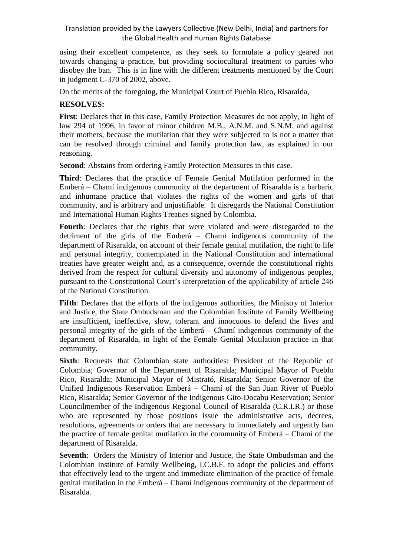using their excellent competence, as they seek to formulate a policy geared not towards changing a practice, but providing sociocultural treatment to parties who disobey the ban. This is in line with the different treatments mentioned by the Court in judgment C-370 of 2002, above.

On the merits of the foregoing, the Municipal Court of Pueblo Rico, Risaralda,

# **RESOLVES:**

**First**: Declares that in this case, Family Protection Measures do not apply, in light of law 294 of 1996, in favor of minor children M.B., A.N.M. and S.N.M. and against their mothers, because the mutilation that they were subjected to is not a matter that can be resolved through criminal and family protection law, as explained in our reasoning.

**Second**: Abstains from ordering Family Protection Measures in this case.

**Third**: Declares that the practice of Female Genital Mutilation performed in the Emberá – Chamí indigenous community of the department of Risaralda is a barbaric and inhumane practice that violates the rights of the women and girls of that community, and is arbitrary and unjustifiable. It disregards the National Constitution and International Human Rights Treaties signed by Colombia.

**Fourth**: Declares that the rights that were violated and were disregarded to the detriment of the girls of the Emberá – Chamí indigenous community of the department of Risaralda, on account of their female genital mutilation, the right to life and personal integrity, contemplated in the National Constitution and international treaties have greater weight and, as a consequence, override the constitutional rights derived from the respect for cultural diversity and autonomy of indigenous peoples, pursuant to the Constitutional Court's interpretation of the applicability of article 246 of the National Constitution.

**Fifth**: Declares that the efforts of the indigenous authorities, the Ministry of Interior and Justice, the State Ombudsman and the Colombian Institute of Family Wellbeing are insufficient, ineffective, slow, tolerant and innocuous to defend the lives and personal integrity of the girls of the Emberá – Chamí indigenous community of the department of Risaralda, in light of the Female Genital Mutilation practice in that community.

**Sixth:** Requests that Colombian state authorities: President of the Republic of Colombia; Governor of the Department of Risaralda; Municipal Mayor of Pueblo Rico, Risaralda; Municipal Mayor of Mistrató, Risaralda; Senior Governor of the Unified Indigenous Reservation Emberá – Chamí of the San Juan River of Pueblo Rico, Risaralda; Senior Governor of the Indigenous Gito-Docabu Reservation; Senior Councilmember of the Indigenous Regional Council of Risaralda (C.R.I.R.) or those who are represented by those positions issue the administrative acts, decrees, resolutions, agreements or orders that are necessary to immediately and urgently ban the practice of female genital mutilation in the community of Emberá – Chamí of the department of Risaralda.

**Seventh**: Orders the Ministry of Interior and Justice, the State Ombudsman and the Colombian Institute of Family Wellbeing, I.C.B.F. to adopt the policies and efforts that effectively lead to the urgent and immediate elimination of the practice of female genital mutilation in the Emberá – Chamí indigenous community of the department of Risaralda.